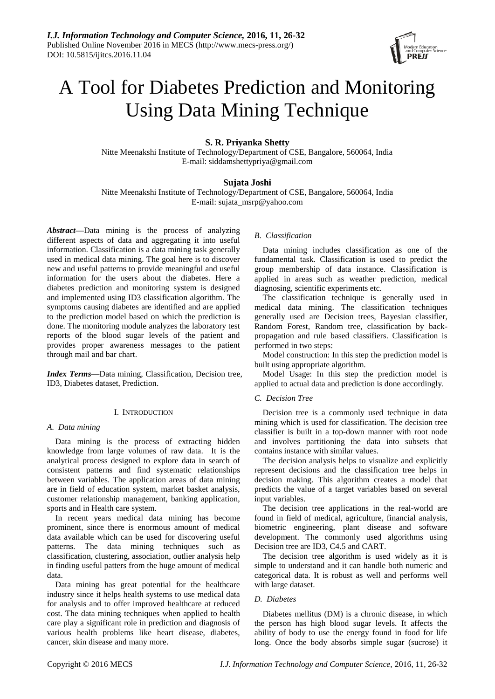

# A Tool for Diabetes Prediction and Monitoring Using Data Mining Technique

# **S. R. Priyanka Shetty**

Nitte Meenakshi Institute of Technology/Department of CSE, Bangalore, 560064, India E-mail: siddamshettypriya@gmail.com

## **Sujata Joshi**

Nitte Meenakshi Institute of Technology/Department of CSE, Bangalore, 560064, India E-mail: sujata\_msrp@yahoo.com

*Abstract***—**Data mining is the process of analyzing different aspects of data and aggregating it into useful information. Classification is a data mining task generally used in medical data mining. The goal here is to discover new and useful patterns to provide meaningful and useful information for the users about the diabetes. Here a diabetes prediction and monitoring system is designed and implemented using ID3 classification algorithm. The symptoms causing diabetes are identified and are applied to the prediction model based on which the prediction is done. The monitoring module analyzes the laboratory test reports of the blood sugar levels of the patient and provides proper awareness messages to the patient through mail and bar chart.

*Index Terms***—**Data mining, Classification, Decision tree, ID3, Diabetes dataset, Prediction.

## I. INTRODUCTION

## *A. Data mining*

Data mining is the process of extracting hidden knowledge from large volumes of raw data. It is the analytical process designed to explore data in search of consistent patterns and find systematic relationships between variables. The application areas of data mining are in field of education system, market basket analysis, customer relationship management, banking application, sports and in Health care system.

In recent years medical data mining has become prominent, since there is enormous amount of medical data available which can be used for discovering useful patterns. The data mining techniques such as classification, clustering, association, outlier analysis help in finding useful patters from the huge amount of medical data.

Data mining has great potential for the healthcare industry since it helps health systems to use medical data for analysis and to offer improved healthcare at reduced cost. The data mining techniques when applied to health care play a significant role in prediction and diagnosis of various health problems like heart disease, diabetes, cancer, skin disease and many more.

#### *B. Classification*

Data mining includes classification as one of the fundamental task. Classification is used to predict the group membership of data instance. Classification is applied in areas such as weather prediction, medical diagnosing, scientific experiments etc.

The classification technique is generally used in medical data mining. The classification techniques generally used are Decision trees, Bayesian classifier, Random Forest, Random tree, classification by backpropagation and rule based classifiers. Classification is performed in two steps:

Model construction: In this step the prediction model is built using appropriate algorithm.

Model Usage: In this step the prediction model is applied to actual data and prediction is done accordingly.

#### *C. Decision Tree*

Decision tree is a commonly used technique in data mining which is used for classification. The decision tree classifier is built in a top-down manner with root node and involves partitioning the data into subsets that contains instance with similar values.

The decision analysis helps to visualize and explicitly represent decisions and the classification tree helps in decision making. This algorithm creates a model that predicts the value of a target variables based on several input variables.

The decision tree applications in the real-world are found in field of medical, agriculture, financial analysis, biometric engineering, plant disease and software development. The commonly used algorithms using Decision tree are ID3, C4.5 and CART.

The decision tree algorithm is used widely as it is simple to understand and it can handle both numeric and categorical data. It is robust as well and performs well with large dataset.

## *D. Diabetes*

Diabetes mellitus (DM) is a chronic disease, in which the person has high blood sugar levels. It affects the ability of body to use the energy found in food for life long. Once the body absorbs simple sugar (sucrose) it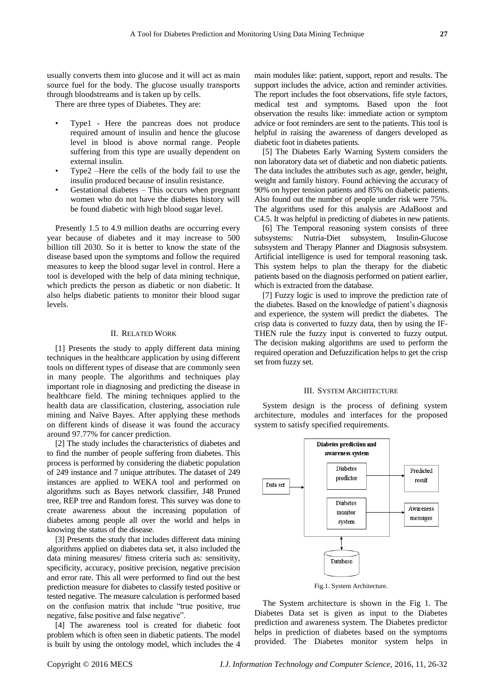usually converts them into glucose and it will act as main source fuel for the body. The glucose usually transports through bloodstreams and is taken up by cells.

There are three types of Diabetes. They are:

- Type1 Here the pancreas does not produce required amount of insulin and hence the glucose level in blood is above normal range. People suffering from this type are usually dependent on external insulin.
- Type2 –Here the cells of the body fail to use the insulin produced because of insulin resistance.
- Gestational diabetes This occurs when pregnant women who do not have the diabetes history will be found diabetic with high blood sugar level.

Presently 1.5 to 4.9 million deaths are occurring every year because of diabetes and it may increase to 500 billion till 2030. So it is better to know the state of the disease based upon the symptoms and follow the required measures to keep the blood sugar level in control. Here a tool is developed with the help of data mining technique, which predicts the person as diabetic or non diabetic. It also helps diabetic patients to monitor their blood sugar levels.

#### II. RELATED WORK

[1] Presents the study to apply different data mining techniques in the healthcare application by using different tools on different types of disease that are commonly seen in many people. The algorithms and techniques play important role in diagnosing and predicting the disease in healthcare field. The mining techniques applied to the health data are classification, clustering, association rule mining and Naïve Bayes. After applying these methods on different kinds of disease it was found the accuracy around 97.77% for cancer prediction.

[2] The study includes the characteristics of diabetes and to find the number of people suffering from diabetes. This process is performed by considering the diabetic population of 249 instance and 7 unique attributes. The dataset of 249 instances are applied to WEKA tool and performed on algorithms such as Bayes network classifier, J48 Pruned tree, REP tree and Random forest. This survey was done to create awareness about the increasing population of diabetes among people all over the world and helps in knowing the status of the disease.

[3] Presents the study that includes different data mining algorithms applied on diabetes data set, it also included the data mining measures/ fitness criteria such as: sensitivity, specificity, accuracy, positive precision, negative precision and error rate. This all were performed to find out the best prediction measure for diabetes to classify tested positive or tested negative. The measure calculation is performed based on the confusion matrix that include "true positive, true negative, false positive and false negative".

[4] The awareness tool is created for diabetic foot problem which is often seen in diabetic patients. The model is built by using the ontology model, which includes the 4

main modules like: patient, support, report and results. The support includes the advice, action and reminder activities. The report includes the foot observations, fife style factors, medical test and symptoms. Based upon the foot observation the results like: immediate action or symptom advice or foot reminders are sent to the patients. This tool is helpful in raising the awareness of dangers developed as diabetic foot in diabetes patients.

[5] The Diabetes Early Warning System considers the non laboratory data set of diabetic and non diabetic patients. The data includes the attributes such as age, gender, height, weight and family history. Found achieving the accuracy of 90% on hyper tension patients and 85% on diabetic patients. Also found out the number of people under risk were 75%. The algorithms used for this analysis are AdaBoost and C4.5. It was helpful in predicting of diabetes in new patients.

[6] The Temporal reasoning system consists of three subsystems: Nutria-Diet subsystem, Insulin-Glucose subsystem and Therapy Planner and Diagnosis subsystem. Artificial intelligence is used for temporal reasoning task. This system helps to plan the therapy for the diabetic patients based on the diagnosis performed on patient earlier, which is extracted from the database.

[7] Fuzzy logic is used to improve the prediction rate of the diabetes. Based on the knowledge of patient's diagnosis and experience, the system will predict the diabetes. The crisp data is converted to fuzzy data, then by using the IF-THEN rule the fuzzy input is converted to fuzzy output. The decision making algorithms are used to perform the required operation and Defuzzification helps to get the crisp set from fuzzy set.

#### III. SYSTEM ARCHITECTURE

System design is the process of defining system architecture, modules and interfaces for the proposed system to satisfy specified requirements.



Fig.1. System Architecture.

The System architecture is shown in the Fig 1. The Diabetes Data set is given as input to the Diabetes prediction and awareness system. The Diabetes predictor helps in prediction of diabetes based on the symptoms provided. The Diabetes monitor system helps in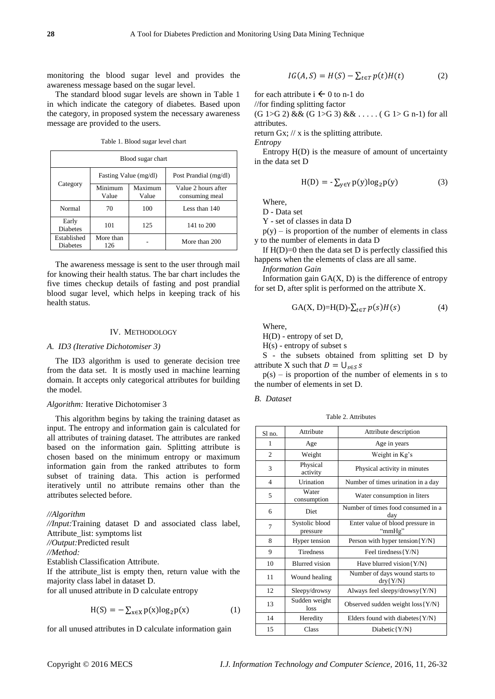monitoring the blood sugar level and provides the awareness message based on the sugar level.

The standard blood sugar levels are shown in Table 1 in which indicate the category of diabetes. Based upon the category, in proposed system the necessary awareness message are provided to the users.

Table 1. Blood sugar level chart

| Blood sugar chart              |                       |                  |                                       |  |  |  |
|--------------------------------|-----------------------|------------------|---------------------------------------|--|--|--|
|                                | Fasting Value (mg/dl) |                  | Post Prandial (mg/dl)                 |  |  |  |
| Category                       | Minimum<br>Value      | Maximum<br>Value | Value 2 hours after<br>consuming meal |  |  |  |
| Normal                         | 70                    | 100              | Less than 140                         |  |  |  |
| Early<br><b>Diabetes</b>       | 101                   | 125              | 141 to 200                            |  |  |  |
| Established<br><b>Diabetes</b> | More than<br>126      |                  | More than 200                         |  |  |  |

The awareness message is sent to the user through mail for knowing their health status. The bar chart includes the five times checkup details of fasting and post prandial blood sugar level, which helps in keeping track of his health status.

#### IV. METHODOLOGY

#### *A. ID3 (Iterative Dichotomiser 3)*

The ID3 algorithm is used to generate decision tree from the data set. It is mostly used in machine learning domain. It accepts only categorical attributes for building the model.

#### *Algorithm:* Iterative Dichotomiser 3

This algorithm begins by taking the training dataset as input. The entropy and information gain is calculated for all attributes of training dataset. The attributes are ranked based on the information gain. Splitting attribute is chosen based on the minimum entropy or maximum information gain from the ranked attributes to form subset of training data. This action is performed iteratively until no attribute remains other than the attributes selected before.

## *//Algorithm*

*//Input:*Training dataset D and associated class label, Attribute\_list: symptoms list *//Output:*Predicted result *//Method:* Establish Classification Attribute. If the attribute\_list is empty then, return value with the majority class label in dataset D.

for all unused attribute in D calculate entropy

$$
H(S) = -\sum_{x \in X} p(x) \log_2 p(x) \tag{1}
$$

for all unused attributes in D calculate information gain

$$
IG(A, S) = H(S) - \sum_{t \in T} p(t)H(t)
$$
 (2)

for each attribute  $i \leftarrow 0$  to n-1 do

//for finding splitting factor

 $(G 1 > G 2)$  & &  $(G 1 > G 3)$  & & .....  $(G 1 > G n-1)$  for all attributes.

return Gx;  $//x$  is the splitting attribute.

*Entropy*

Entropy H(D) is the measure of amount of uncertainty in the data set D

$$
H(D) = -\sum_{y \in Y} p(y) \log_2 p(y) \tag{3}
$$

Where,

D - Data set

Y - set of classes in data D

 $p(y)$  – is proportion of the number of elements in class y to the number of elements in data D

If  $H(D)=0$  then the data set D is perfectly classified this happens when the elements of class are all same.

*Information Gain*

Information gain  $GA(X, D)$  is the difference of entropy for set D, after split is performed on the attribute X.

$$
GA(X, D)=H(D)-\sum_{t\in T}p(s)H(s)
$$
 (4)

Where,

H(D) - entropy of set D,

H(s) - entropy of subset s

S - the subsets obtained from splitting set D by attribute X such that  $D = \bigcup_{s \in S} s$ 

 $p(s)$  – is proportion of the number of elements in s to the number of elements in set D.

#### *B. Dataset*

Table 2. Attributes

| $S1$ no.       | Attribute                  | Attribute description                        |
|----------------|----------------------------|----------------------------------------------|
| 1              | Age                        | Age in years                                 |
| $\overline{2}$ | Weight                     | Weight in Kg's                               |
| 3              | Physical<br>activity       | Physical activity in minutes                 |
| $\overline{4}$ | Urination                  | Number of times urination in a day           |
| 5              | Water<br>consumption       | Water consumption in liters                  |
| 6              | <b>Diet</b>                | Number of times food consumed in a<br>day    |
| 7              | Systolic blood<br>pressure | Enter value of blood pressure in<br>"mmHg"   |
| 8              | Hyper tension              | Person with hyper tension ${Y/N}$            |
| 9              | <b>Tiredness</b>           | Feel tiredness $\{Y/N\}$                     |
| 10             | <b>Blurred</b> vision      | Have blurred vision ${Y/N}$                  |
| 11             | Wound healing              | Number of days wound starts to<br>$dry{Y/N}$ |
| 12             | Sleepy/drowsy              | Always feel sleepy/drowsy{Y/N}               |
| 13             | Sudden weight<br>loss      | Observed sudden weight $loss{Y/N}$           |
| 14             | Heredity                   | Elders found with diabetes ${Y/N}$           |
| 15             | Class                      | $Diabetic {Y/N}$                             |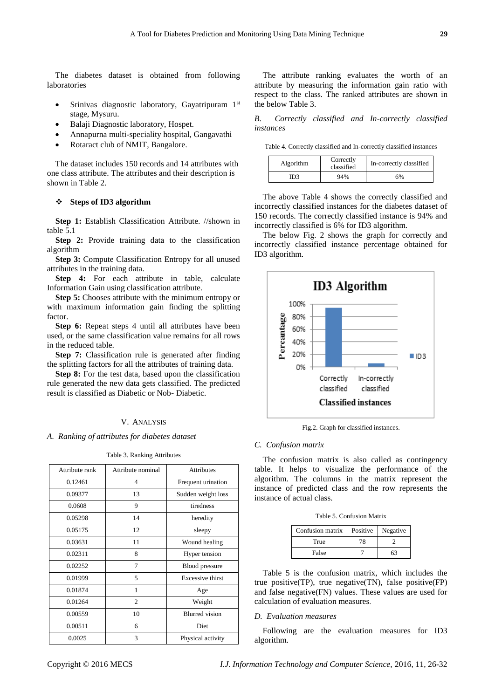The diabetes dataset is obtained from following laboratories

- $\bullet$  Srinivas diagnostic laboratory, Gayatripuram 1st stage, Mysuru.
- Balaji Diagnostic laboratory, Hospet.
- Annapurna multi-speciality hospital, Gangavathi
- Rotaract club of NMIT, Bangalore.

The dataset includes 150 records and 14 attributes with one class attribute. The attributes and their description is shown in Table 2.

## **Steps of ID3 algorithm**

**Step 1:** Establish Classification Attribute. //shown in table 5.1

**Step 2:** Provide training data to the classification algorithm

**Step 3:** Compute Classification Entropy for all unused attributes in the training data.

**Step 4:** For each attribute in table, calculate Information Gain using classification attribute.

**Step 5:** Chooses attribute with the minimum entropy or with maximum information gain finding the splitting factor.

**Step 6:** Repeat steps 4 until all attributes have been used, or the same classification value remains for all rows in the reduced table.

**Step 7:** Classification rule is generated after finding the splitting factors for all the attributes of training data.

**Step 8:** For the test data, based upon the classification rule generated the new data gets classified. The predicted result is classified as Diabetic or Nob- Diabetic.

## V. ANALYSIS

*A. Ranking of attributes for diabetes dataset*

|  |  | Table 3. Ranking Attributes |
|--|--|-----------------------------|
|--|--|-----------------------------|

| Attribute rank | Attribute nominal | <b>Attributes</b>       |
|----------------|-------------------|-------------------------|
| 0.12461        | 4                 | Frequent urination      |
| 0.09377        | 13                | Sudden weight loss      |
| 0.0608         | 9                 | tiredness               |
| 0.05298        | 14                | heredity                |
| 0.05175        | 12                | sleepy                  |
| 0.03631        | 11                | Wound healing           |
| 0.02311        | 8                 | Hyper tension           |
| 0.02252        | 7                 | <b>Blood</b> pressure   |
| 0.01999        | 5                 | <b>Excessive thirst</b> |
| 0.01874        | 1                 | Age                     |
| 0.01264        | $\overline{2}$    | Weight                  |
| 0.00559        | 10                | <b>Blurred</b> vision   |
| 0.00511        | 6                 | Diet                    |
| 0.0025         | 3                 | Physical activity       |

The attribute ranking evaluates the worth of an attribute by measuring the information gain ratio with respect to the class. The ranked attributes are shown in the below Table 3.

*B. Correctly classified and In-correctly classified instances*

Table 4. Correctly classified and In-correctly classified instances

| Algorithm | Correctly<br>classified | In-correctly classified |  |
|-----------|-------------------------|-------------------------|--|
| IDЗ       | 94%                     | 6%                      |  |

The above Table 4 shows the correctly classified and incorrectly classified instances for the diabetes dataset of 150 records. The correctly classified instance is 94% and incorrectly classified is 6% for ID3 algorithm.

The below Fig. 2 shows the graph for correctly and incorrectly classified instance percentage obtained for ID3 algorithm.



Fig.2. Graph for classified instances.

#### *C. Confusion matrix*

The confusion matrix is also called as contingency table. It helps to visualize the performance of the algorithm. The columns in the matrix represent the instance of predicted class and the row represents the instance of actual class.

| Table 5. Confusion Matrix |
|---------------------------|
|---------------------------|

| Confusion matrix |    | Positive Negative |  |
|------------------|----|-------------------|--|
| True             | 78 |                   |  |
| False            |    | 53                |  |

Table 5 is the confusion matrix, which includes the true positive(TP), true negative(TN), false positive(FP) and false negative(FN) values. These values are used for calculation of evaluation measures.

## *D. Evaluation measures*

Following are the evaluation measures for ID3 algorithm.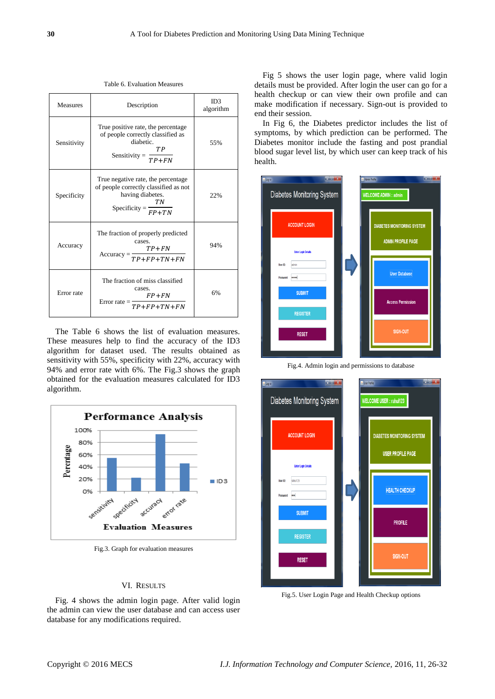Table 6. Evaluation Measures

| <b>Measures</b> | Description                                                                                                                                          | ID3<br>algorithm |
|-----------------|------------------------------------------------------------------------------------------------------------------------------------------------------|------------------|
| Sensitivity     | True positive rate, the percentage<br>of people correctly classified as<br>diabetic.<br>TP<br>$Sensitivity =$<br>$TP + FN$                           | 55%              |
| Specificity     | True negative rate, the percentage<br>of people correctly classified as not<br>having diabetes.<br>TN<br>Specificity = $\frac{F P + T N}{F P + T N}$ | 22%              |
| Accuracy        | The fraction of properly predicted<br>cases.<br>$TP + FN$<br>$Accuracy = \frac{TP + FP + TN + FN}{TP + FP + TN + FN}$                                | 94%              |
| Error rate      | The fraction of miss classified<br>cases.<br>$FP+FN$<br>Error rate = $\frac{1}{TP + FP + TN + FN}$                                                   | 6%               |

The Table 6 shows the list of evaluation measures. These measures help to find the accuracy of the ID3 algorithm for dataset used. The results obtained as sensitivity with 55%, specificity with 22%, accuracy with 94% and error rate with 6%. The Fig.3 shows the graph obtained for the evaluation measures calculated for ID3 algorithm.



Fig.3. Graph for evaluation measures

## VI. RESULTS

Fig. 4 shows the admin login page. After valid login the admin can view the user database and can access user database for any modifications required.

Fig 5 shows the user login page, where valid login details must be provided. After login the user can go for a health checkup or can view their own profile and can make modification if necessary. Sign-out is provided to end their session.

In Fig 6, the Diabetes predictor includes the list of symptoms, by which prediction can be performed. The Diabetes monitor include the fasting and post prandial blood sugar level list, by which user can keep track of his health.



Fig.4. Admin login and permissions to database



Fig.5. User Login Page and Health Checkup options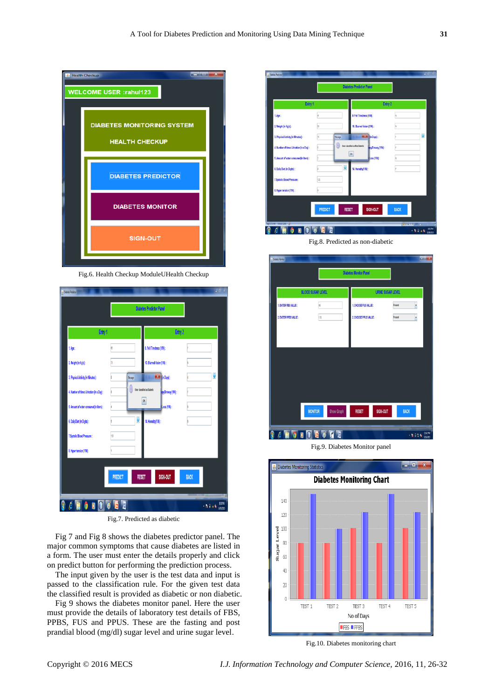

Fig.6. Health Checkup ModuleUHealth Checkup

|                                           |                | <b>Diabetes Predictor Panel</b>                                         |             |   |
|-------------------------------------------|----------------|-------------------------------------------------------------------------|-------------|---|
| Entry 1                                   |                | Entry 2                                                                 |             |   |
| 1.Age:                                    | 85             | 9. Fell Tiredness (Y/N):                                                |             |   |
| 2. Weight (in Kg's):                      | N              | 10. Blurred Vision (Y/N):                                               |             |   |
| 3. Physical Activity (in Minutes):        | Message        | $\left\vert \begin{array}{c} 1 \\ -1 \end{array} \right\vert$ [n Days]: |             | ŷ |
| 4. Number of times Urination (in a Day) : | ſ              | User classified as Diabetic<br>epyDrowsy (Y.N):                         |             |   |
| 5. Amount of water consumed(in liters):   |                | $\overline{\mathbf{0}}$<br>Loss (YIN):                                  |             |   |
| 6. Daily Diet (in Digits):                |                | ŷ<br>14. Heredity(YIN):                                                 |             |   |
| 7. Systolic Blood Pressure:               | 135            |                                                                         |             |   |
| 8. Hyper tension (Y/N):                   |                |                                                                         |             |   |
|                                           |                |                                                                         |             |   |
|                                           | <b>PREDICT</b> | SIGN-OUT<br><b>RESET</b>                                                | <b>BACK</b> |   |
|                                           |                |                                                                         |             |   |

Fig.7. Predicted as diabetic

Fig 7 and Fig 8 shows the diabetes predictor panel. The major common symptoms that cause diabetes are listed in a form. The user must enter the details properly and click on predict button for performing the prediction process.

The input given by the user is the test data and input is passed to the classification rule. For the given test data the classified result is provided as diabetic or non diabetic.

Fig 9 shows the diabetes monitor panel. Here the user must provide the details of laboratory test details of FBS, PPBS, FUS and PPUS. These are the fasting and post prandial blood (mg/dl) sugar level and urine sugar level.

| Entry 1                                  |                |         |                                 | Entry 2                 |             |                         |
|------------------------------------------|----------------|---------|---------------------------------|-------------------------|-------------|-------------------------|
| 1.Age:                                   | is.            |         | 9. Fell Tiredness (Y/N):        |                         |             |                         |
| 2. Weight (in Kg's):                     | 59             |         | 10. Blurred Vision (Y/N):       |                         |             |                         |
| 3. Physical Activity (in Minutes):       | <sub>15</sub>  | Message |                                 | <b>HALMA</b> (in Days): |             | $\overline{\mathbf{v}}$ |
| 4. Number of times Urination (in a Day): |                | G       | User classified as Non Diabetic | spyDrowsy (Y/N):        |             |                         |
| 5. Anount of water consumed in liters) ; |                |         | 0 <sub>k</sub>                  | Loss (YM):              |             |                         |
| 6. Daily Diet (in Digits):               |                | Ø       | 14. Heredity(11N):              |                         |             |                         |
| 7. Systelic Blood Pressure:              | 122            |         |                                 |                         |             |                         |
| 8. Hyper tension (Y/N):                  | Ń              |         |                                 |                         |             |                         |
|                                          |                |         |                                 |                         |             |                         |
|                                          | <b>PREDICT</b> |         | <b>RESET</b>                    | SIGN-OUT                | <b>BACK</b> |                         |

Fig.8. Predicted as non-diabetic

| - Diabetes Montan                            |                                     | <b>Diabetes Monitor Panel</b> | $m$ of $\mathbb{R}$                 |
|----------------------------------------------|-------------------------------------|-------------------------------|-------------------------------------|
|                                              | <b>BLOOD SUGAR LEVEL</b>            |                               | <b>URINE SUGAR LEVEL</b>            |
| 1. ENTER FBS VALUE:<br>2. ENTER PPBS VALUE : | is)<br>(3)                          |                               | Present<br>×<br>Present<br>×        |
|                                              |                                     |                               |                                     |
|                                              | <b>MONITOR</b><br><b>Show Graph</b> | SIGN-OUT<br><b>RESET</b>      | <b>BACK</b>                         |
| Ġ<br>D<br>o                                  | <b>RODE</b>                         |                               | <b>INCHI</b><br>$-1000$<br>505/2015 |

Fig.9. Diabetes Monitor panel



Fig.10. Diabetes monitoring chart